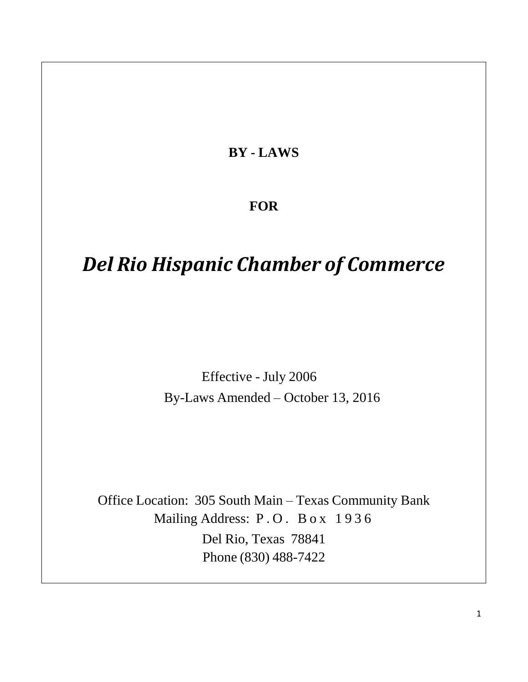**BY - LAWS**

# **FOR**

# *Del Rio Hispanic Chamber of Commerce*

Effective - July 2006 By-Laws Amended – October 13, 2016

Office Location: 305 South Main – Texas Community Bank Mailing Address: P.O. Box 1936 Del Rio, Texas 78841 Phone (830) 488-7422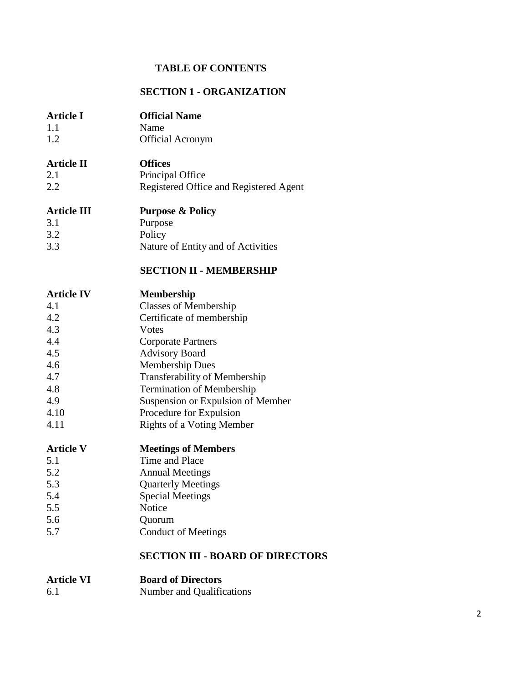# **TABLE OF CONTENTS**

### **SECTION 1 - ORGANIZATION**

| <b>Article I</b><br>1.1<br>1.2                                                                   | <b>Official Name</b><br>Name<br><b>Official Acronym</b>                                                                                                                                                                                                                                                             |
|--------------------------------------------------------------------------------------------------|---------------------------------------------------------------------------------------------------------------------------------------------------------------------------------------------------------------------------------------------------------------------------------------------------------------------|
| <b>Article II</b><br>2.1<br>2.2                                                                  | <b>Offices</b><br>Principal Office<br>Registered Office and Registered Agent                                                                                                                                                                                                                                        |
| <b>Article III</b><br>3.1<br>3.2<br>3.3                                                          | <b>Purpose &amp; Policy</b><br>Purpose<br>Policy<br>Nature of Entity and of Activities<br><b>SECTION II - MEMBERSHIP</b>                                                                                                                                                                                            |
| <b>Article IV</b><br>4.1<br>4.2<br>4.3<br>4.4<br>4.5<br>4.6<br>4.7<br>4.8<br>4.9<br>4.10<br>4.11 | <b>Membership</b><br><b>Classes of Membership</b><br>Certificate of membership<br>Votes<br><b>Corporate Partners</b><br><b>Advisory Board</b><br><b>Membership Dues</b><br><b>Transferability of Membership</b><br><b>Termination of Membership</b><br>Suspension or Expulsion of Member<br>Procedure for Expulsion |
| <b>Article V</b><br>5.1<br>5.2<br>5.3<br>5.4<br>5.5<br>5.6<br>5.7                                | <b>Rights of a Voting Member</b><br><b>Meetings of Members</b><br>Time and Place<br><b>Annual Meetings</b><br><b>Quarterly Meetings</b><br><b>Special Meetings</b><br>Notice<br>Quorum<br><b>Conduct of Meetings</b>                                                                                                |
|                                                                                                  | <b>SECTION III - BOARD OF DIRECTORS</b>                                                                                                                                                                                                                                                                             |

| <b>Article VI</b> | <b>Board of Directors</b> |
|-------------------|---------------------------|
| 6.1               | Number and Qualifications |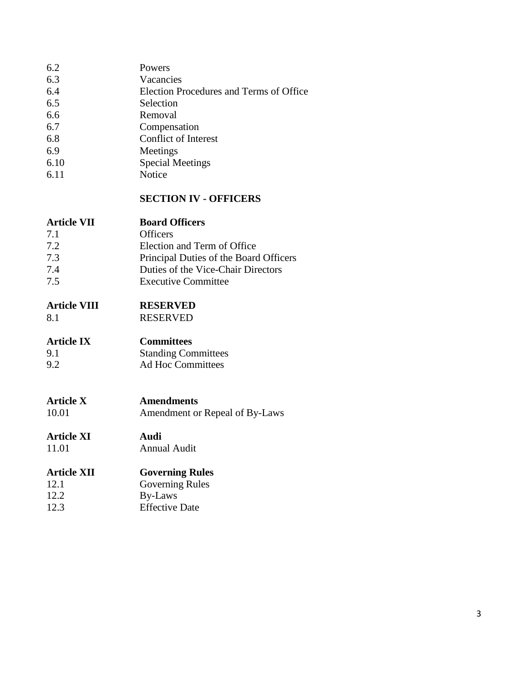| 6.2  | Powers                                  |
|------|-----------------------------------------|
| 6.3  | Vacancies                               |
| 6.4  | Election Procedures and Terms of Office |
| 6.5  | Selection                               |
| 6.6  | Removal                                 |
| 6.7  | Compensation                            |
| 6.8  | <b>Conflict of Interest</b>             |
| 6.9  | Meetings                                |
| 6.10 | <b>Special Meetings</b>                 |
| 6.11 | Notice                                  |
|      |                                         |

#### **SECTION IV - OFFICERS**

| <b>Article VII</b> | <b>Board Officers</b>                  |
|--------------------|----------------------------------------|
| 7.1                | <b>Officers</b>                        |
| 7.2                | Election and Term of Office            |
| 7.3                | Principal Duties of the Board Officers |
| 7.4                | Duties of the Vice-Chair Directors     |
| 7.5                | <b>Executive Committee</b>             |

# **Article VIII RESERVED**

8.1 RESERVED

# **Article IX Committees**

| 9.1 | <b>Standing Committees</b> |
|-----|----------------------------|
| 9.2 | Ad Hoc Committees          |

**Article X**<br>10.01 **Amendment** or Amendment or Repeal of By-Laws

# **Article XI Audi**

11.01 Annual Audit

# **Article XII Governing Rules**

12.1 Governing Rules<br>12.2 By-Laws By-Laws 12.3 Effective Date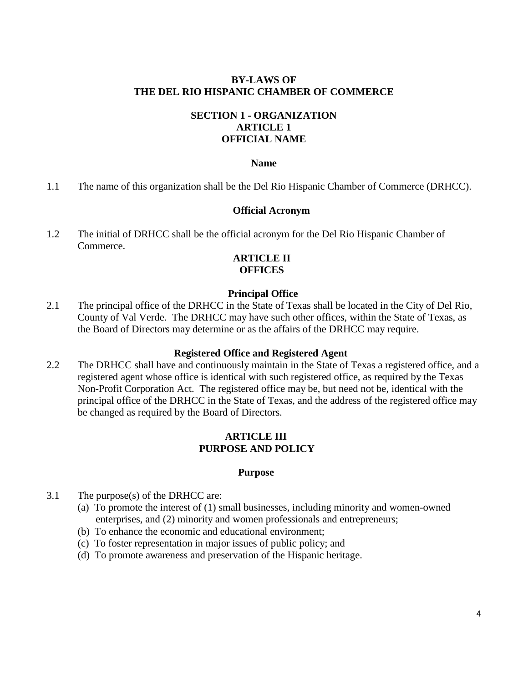#### **BY-LAWS OF THE DEL RIO HISPANIC CHAMBER OF COMMERCE**

# **SECTION 1 - ORGANIZATION ARTICLE 1 OFFICIAL NAME**

#### **Name**

1.1 The name of this organization shall be the Del Rio Hispanic Chamber of Commerce (DRHCC).

#### **Official Acronym**

1.2 The initial of DRHCC shall be the official acronym for the Del Rio Hispanic Chamber of Commerce.

#### **ARTICLE II OFFICES**

#### **Principal Office**

2.1 The principal office of the DRHCC in the State of Texas shall be located in the City of Del Rio, County of Val Verde. The DRHCC may have such other offices, within the State of Texas, as the Board of Directors may determine or as the affairs of the DRHCC may require.

#### **Registered Office and Registered Agent**

2.2 The DRHCC shall have and continuously maintain in the State of Texas a registered office, and a registered agent whose office is identical with such registered office, as required by the Texas Non-Profit Corporation Act. The registered office may be, but need not be, identical with the principal office of the DRHCC in the State of Texas, and the address of the registered office may be changed as required by the Board of Directors.

#### **ARTICLE III PURPOSE AND POLICY**

#### **Purpose**

- 3.1 The purpose(s) of the DRHCC are:
	- (a) To promote the interest of (1) small businesses, including minority and women-owned enterprises, and (2) minority and women professionals and entrepreneurs;
	- (b) To enhance the economic and educational environment;
	- (c) To foster representation in major issues of public policy; and
	- (d) To promote awareness and preservation of the Hispanic heritage.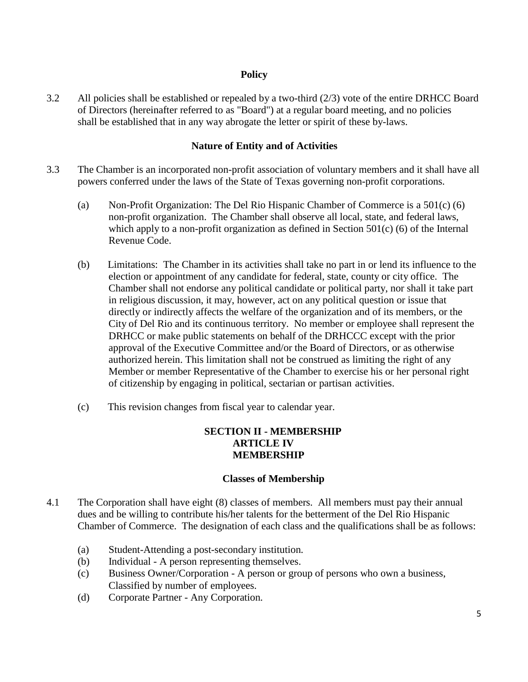### **Policy**

3.2 All policies shall be established or repealed by a two-third (2/3) vote of the entire DRHCC Board of Directors (hereinafter referred to as "Board") at a regular board meeting, and no policies shall be established that in any way abrogate the letter or spirit of these by-laws.

#### **Nature of Entity and of Activities**

- 3.3 The Chamber is an incorporated non-profit association of voluntary members and it shall have all powers conferred under the laws of the State of Texas governing non-profit corporations.
	- (a) Non-Profit Organization: The Del Rio Hispanic Chamber of Commerce is a 501(c) (6) non-profit organization. The Chamber shall observe all local, state, and federal laws, which apply to a non-profit organization as defined in Section  $501(c)$  (6) of the Internal Revenue Code.
	- (b) Limitations: The Chamber in its activities shall take no part in or lend its influence to the election or appointment of any candidate for federal, state, county or city office. The Chamber shall not endorse any political candidate or political party, nor shall it take part in religious discussion, it may, however, act on any political question or issue that directly or indirectly affects the welfare of the organization and of its members, or the City of Del Rio and its continuous territory. No member or employee shall represent the DRHCC or make public statements on behalf of the DRHCCC except with the prior approval of the Executive Committee and/or the Board of Directors, or as otherwise authorized herein. This limitation shall not be construed as limiting the right of any Member or member Representative of the Chamber to exercise his or her personal right of citizenship by engaging in political, sectarian or partisan activities.
	- (c) This revision changes from fiscal year to calendar year.

# **SECTION II - MEMBERSHIP ARTICLE IV MEMBERSHIP**

#### **Classes of Membership**

- 4.1 The Corporation shall have eight (8) classes of members. All members must pay their annual dues and be willing to contribute his/her talents for the betterment of the Del Rio Hispanic Chamber of Commerce. The designation of each class and the qualifications shall be as follows:
	- (a) Student-Attending a post-secondary institution*.*
	- (b) Individual A person representing themselves.
	- (c) Business Owner/Corporation A person or group of persons who own a business, Classified by number of employees.
	- (d) Corporate Partner Any Corporation.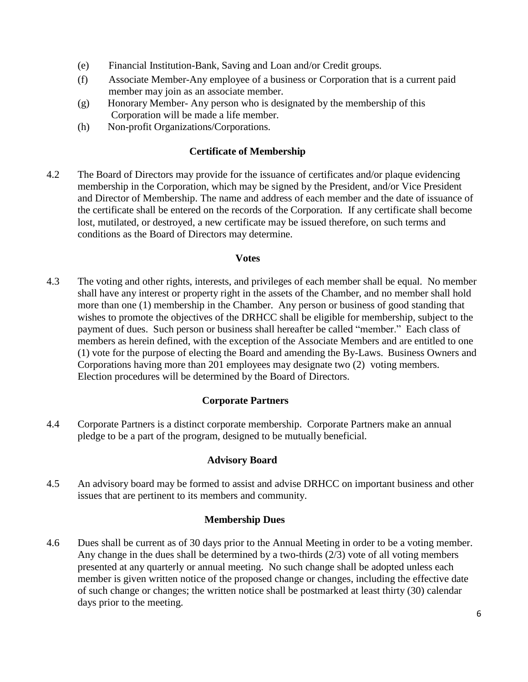- (e) Financial Institution-Bank, Saving and Loan and/or Credit groups.
- (f) Associate Member-Any employee of a business or Corporation that is a current paid member may join as an associate member.
- (g) Honorary Member- Any person who is designated by the membership of this Corporation will be made a life member.
- (h) Non-profit Organizations/Corporations.

### **Certificate of Membership**

4.2 The Board of Directors may provide for the issuance of certificates and/or plaque evidencing membership in the Corporation, which may be signed by the President, and/or Vice President and Director of Membership. The name and address of each member and the date of issuance of the certificate shall be entered on the records of the Corporation. If any certificate shall become lost, mutilated, or destroyed, a new certificate may be issued therefore, on such terms and conditions as the Board of Directors may determine.

#### **Votes**

4.3 The voting and other rights, interests, and privileges of each member shall be equal. No member shall have any interest or property right in the assets of the Chamber, and no member shall hold more than one (1) membership in the Chamber. Any person or business of good standing that wishes to promote the objectives of the DRHCC shall be eligible for membership, subject to the payment of dues. Such person or business shall hereafter be called "member." Each class of members as herein defined, with the exception of the Associate Members and are entitled to one (1) vote for the purpose of electing the Board and amending the By-Laws. Business Owners and Corporations having more than 201 employees may designate two (2) voting members. Election procedures will be determined by the Board of Directors.

# **Corporate Partners**

4.4 Corporate Partners is a distinct corporate membership. Corporate Partners make an annual pledge to be a part of the program, designed to be mutually beneficial.

#### **Advisory Board**

4.5 An advisory board may be formed to assist and advise DRHCC on important business and other issues that are pertinent to its members and community.

#### **Membership Dues**

4.6 Dues shall be current as of 30 days prior to the Annual Meeting in order to be a voting member. Any change in the dues shall be determined by a two-thirds (2/3) vote of all voting members presented at any quarterly or annual meeting. No such change shall be adopted unless each member is given written notice of the proposed change or changes, including the effective date of such change or changes; the written notice shall be postmarked at least thirty (30) calendar days prior to the meeting.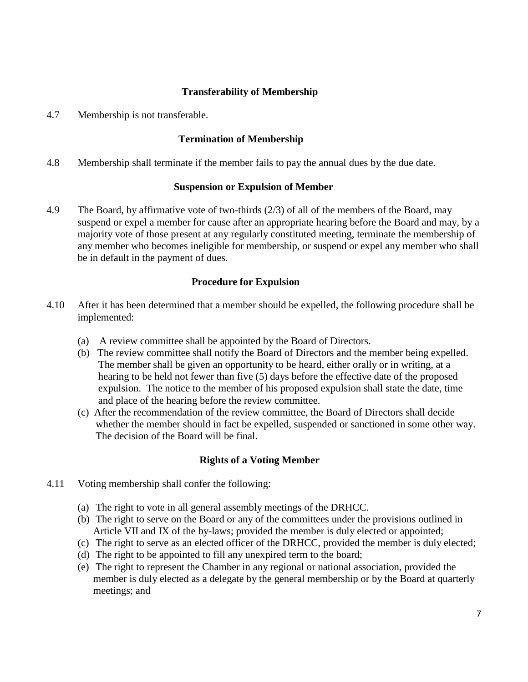# **Transferability of Membership**

4.7 Membership is not transferable.

### **Termination of Membership**

4.8 Membership shall terminate if the member fails to pay the annual dues by the due date.

#### **Suspension or Expulsion of Member**

4.9 The Board, by affirmative vote of two-thirds (2/3) of all of the members of the Board, may suspend or expel a member for cause after an appropriate hearing before the Board and may, by a majority vote of those present at any regularly constituted meeting, terminate the membership of any member who becomes ineligible for membership, or suspend or expel any member who shall be in default in the payment of dues.

#### **Procedure for Expulsion**

- 4.10 After it has been determined that a member should be expelled, the following procedure shall be implemented:
	- (a) A review committee shall be appointed by the Board of Directors.
	- (b) The review committee shall notify the Board of Directors and the member being expelled. The member shall be given an opportunity to be heard, either orally or in writing, at a hearing to be held not fewer than five (5) days before the effective date of the proposed expulsion. The notice to the member of his proposed expulsion shall state the date, time and place of the hearing before the review committee.
	- (c) After the recommendation of the review committee, the Board of Directors shall decide whether the member should in fact be expelled, suspended or sanctioned in some other way. The decision of the Board will be final.

# **Rights of a Voting Member**

- 4.11 Voting membership shall confer the following:
	- (a) The right to vote in all general assembly meetings of the DRHCC.
	- (b) The right to serve on the Board or any of the committees under the provisions outlined in Article VII and IX of the by-laws; provided the member is duly elected or appointed;
	- (c) The right to serve as an elected officer of the DRHCC, provided the member is duly elected;
	- (d) The right to be appointed to fill any unexpired term to the board;
	- (e) The right to represent the Chamber in any regional or national association, provided the member is duly elected as a delegate by the general membership or by the Board at quarterly meetings; and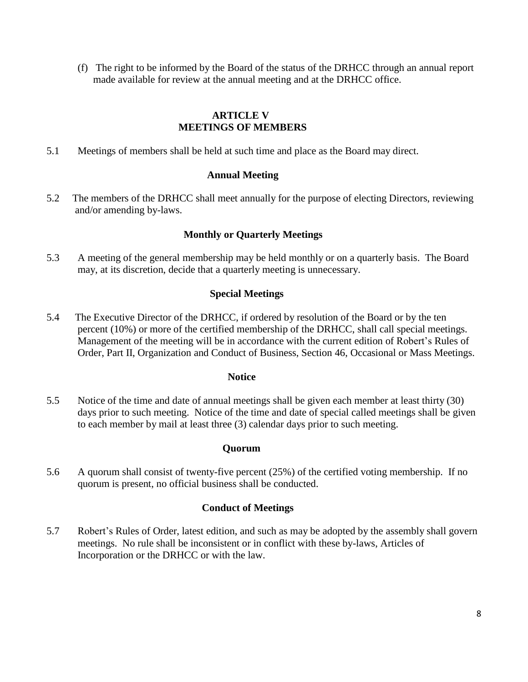(f) The right to be informed by the Board of the status of the DRHCC through an annual report made available for review at the annual meeting and at the DRHCC office.

# **ARTICLE V MEETINGS OF MEMBERS**

5.1 Meetings of members shall be held at such time and place as the Board may direct.

#### **Annual Meeting**

5.2 The members of the DRHCC shall meet annually for the purpose of electing Directors, reviewing and/or amending by-laws.

# **Monthly or Quarterly Meetings**

5.3 A meeting of the general membership may be held monthly or on a quarterly basis. The Board may, at its discretion, decide that a quarterly meeting is unnecessary.

# **Special Meetings**

5.4 The Executive Director of the DRHCC, if ordered by resolution of the Board or by the ten percent (10%) or more of the certified membership of the DRHCC, shall call special meetings. Management of the meeting will be in accordance with the current edition of Robert's Rules of Order, Part II, Organization and Conduct of Business, Section 46, Occasional or Mass Meetings.

#### **Notice**

5.5 Notice of the time and date of annual meetings shall be given each member at least thirty (30) days prior to such meeting. Notice of the time and date of special called meetings shall be given to each member by mail at least three (3) calendar days prior to such meeting.

#### **Quorum**

5.6 A quorum shall consist of twenty-five percent (25%) of the certified voting membership. If no quorum is present, no official business shall be conducted.

#### **Conduct of Meetings**

5.7 Robert's Rules of Order, latest edition, and such as may be adopted by the assembly shall govern meetings. No rule shall be inconsistent or in conflict with these by-laws, Articles of Incorporation or the DRHCC or with the law.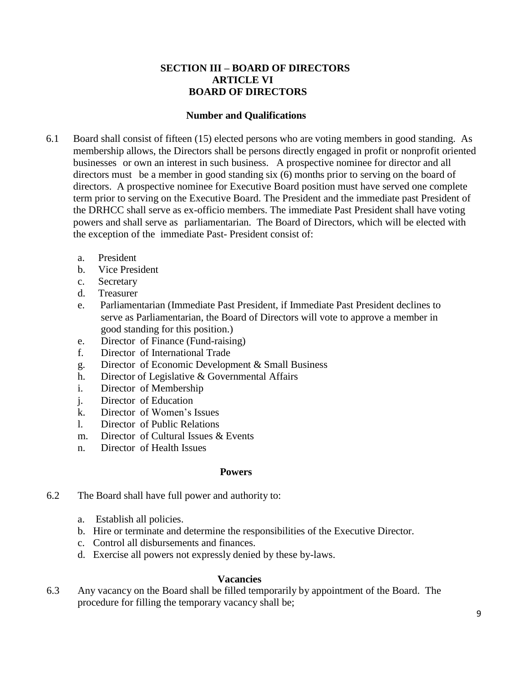#### **SECTION III – BOARD OF DIRECTORS ARTICLE VI BOARD OF DIRECTORS**

#### **Number and Qualifications**

- 6.1 Board shall consist of fifteen (15) elected persons who are voting members in good standing. As membership allows, the Directors shall be persons directly engaged in profit or nonprofit oriented businesses or own an interest in such business. A prospective nominee for director and all directors must be a member in good standing six (6) months prior to serving on the board of directors. A prospective nominee for Executive Board position must have served one complete term prior to serving on the Executive Board. The President and the immediate past President of the DRHCC shall serve as ex-officio members. The immediate Past President shall have voting powers and shall serve as parliamentarian. The Board of Directors, which will be elected with the exception of the immediate Past- President consist of:
	- a. President
	- b. Vice President
	- c. Secretary
	- d. Treasurer
	- e. Parliamentarian (Immediate Past President, if Immediate Past President declines to serve as Parliamentarian, the Board of Directors will vote to approve a member in good standing for this position.)
	- e. Director of Finance (Fund-raising)
	- f. Director of International Trade
	- g. Director of Economic Development & Small Business
	- h. Director of Legislative & Governmental Affairs
	- i. Director of Membership
	- j. Director of Education
	- k. Director of Women's Issues
	- l. Director of Public Relations
	- m. Director of Cultural Issues & Events
	- n. Director of Health Issues

#### **Powers**

- 6.2 The Board shall have full power and authority to:
	- a. Establish all policies.
	- b. Hire or terminate and determine the responsibilities of the Executive Director.
	- c. Control all disbursements and finances.
	- d. Exercise all powers not expressly denied by these by-laws.

#### **Vacancies**

6.3 Any vacancy on the Board shall be filled temporarily by appointment of the Board. The procedure for filling the temporary vacancy shall be;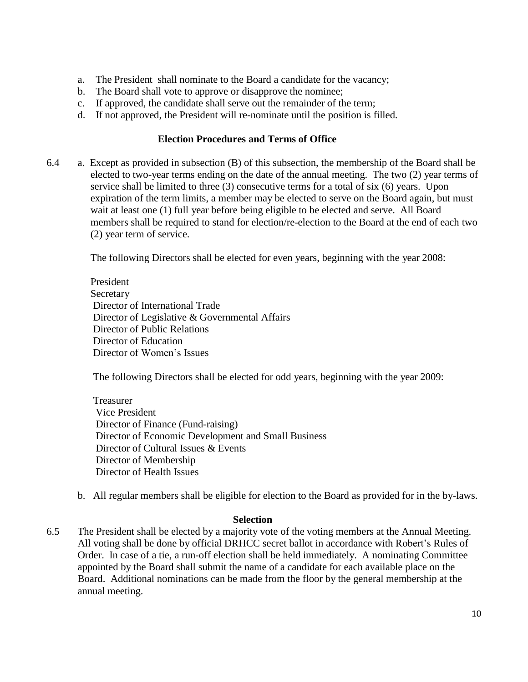- a. The President shall nominate to the Board a candidate for the vacancy;
- b. The Board shall vote to approve or disapprove the nominee;
- c. If approved, the candidate shall serve out the remainder of the term;
- d. If not approved, the President will re-nominate until the position is filled.

#### **Election Procedures and Terms of Office**

6.4 a. Except as provided in subsection (B) of this subsection, the membership of the Board shall be elected to two-year terms ending on the date of the annual meeting. The two (2) year terms of service shall be limited to three (3) consecutive terms for a total of six (6) years. Upon expiration of the term limits, a member may be elected to serve on the Board again, but must wait at least one (1) full year before being eligible to be elected and serve. All Board members shall be required to stand for election/re-election to the Board at the end of each two (2) year term of service.

The following Directors shall be elected for even years, beginning with the year 2008:

President Secretary Director of International Trade Director of Legislative & Governmental Affairs Director of Public Relations Director of Education Director of Women's Issues

The following Directors shall be elected for odd years, beginning with the year 2009:

Treasurer Vice President Director of Finance (Fund-raising) Director of Economic Development and Small Business Director of Cultural Issues & Events Director of Membership Director of Health Issues

b. All regular members shall be eligible for election to the Board as provided for in the by-laws.

#### **Selection**

6.5 The President shall be elected by a majority vote of the voting members at the Annual Meeting. All voting shall be done by official DRHCC secret ballot in accordance with Robert's Rules of Order. In case of a tie, a run-off election shall be held immediately. A nominating Committee appointed by the Board shall submit the name of a candidate for each available place on the Board. Additional nominations can be made from the floor by the general membership at the annual meeting.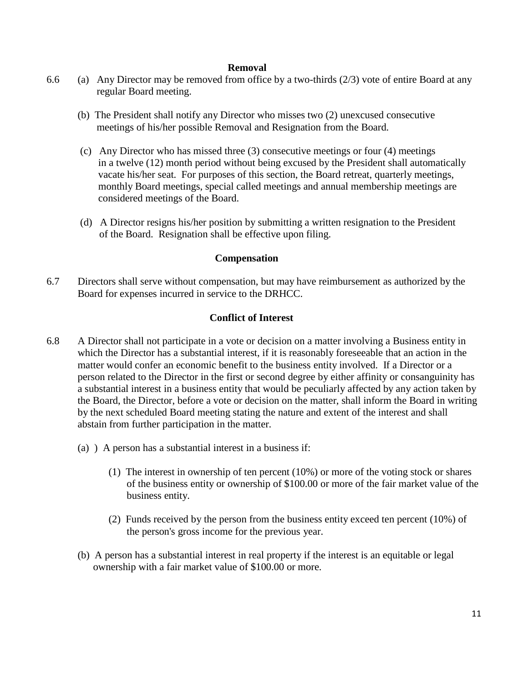#### **Removal**

- 6.6 (a) Any Director may be removed from office by a two-thirds  $(2/3)$  vote of entire Board at any regular Board meeting.
	- (b) The President shall notify any Director who misses two (2) unexcused consecutive meetings of his/her possible Removal and Resignation from the Board.
	- (c) Any Director who has missed three (3) consecutive meetings or four (4) meetings in a twelve (12) month period without being excused by the President shall automatically vacate his/her seat. For purposes of this section, the Board retreat, quarterly meetings, monthly Board meetings, special called meetings and annual membership meetings are considered meetings of the Board.
	- (d) A Director resigns his/her position by submitting a written resignation to the President of the Board. Resignation shall be effective upon filing.

#### **Compensation**

6.7 Directors shall serve without compensation, but may have reimbursement as authorized by the Board for expenses incurred in service to the DRHCC.

#### **Conflict of Interest**

- 6.8 A Director shall not participate in a vote or decision on a matter involving a Business entity in which the Director has a substantial interest, if it is reasonably foreseeable that an action in the matter would confer an economic benefit to the business entity involved. If a Director or a person related to the Director in the first or second degree by either affinity or consanguinity has a substantial interest in a business entity that would be peculiarly affected by any action taken by the Board, the Director, before a vote or decision on the matter, shall inform the Board in writing by the next scheduled Board meeting stating the nature and extent of the interest and shall abstain from further participation in the matter.
	- (a) ) A person has a substantial interest in a business if:
		- (1) The interest in ownership of ten percent (10%) or more of the voting stock or shares of the business entity or ownership of \$100.00 or more of the fair market value of the business entity.
		- (2) Funds received by the person from the business entity exceed ten percent (10%) of the person's gross income for the previous year.
	- (b) A person has a substantial interest in real property if the interest is an equitable or legal ownership with a fair market value of \$100.00 or more.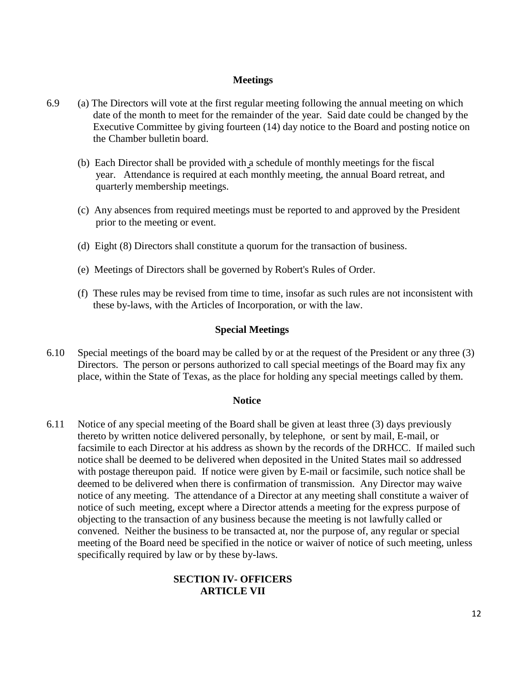#### **Meetings**

- 6.9 (a) The Directors will vote at the first regular meeting following the annual meeting on which date of the month to meet for the remainder of the year. Said date could be changed by the Executive Committee by giving fourteen (14) day notice to the Board and posting notice on the Chamber bulletin board.
	- (b) Each Director shall be provided with a schedule of monthly meetings for the fiscal year. Attendance is required at each monthly meeting, the annual Board retreat, and quarterly membership meetings.
	- (c) Any absences from required meetings must be reported to and approved by the President prior to the meeting or event.
	- (d) Eight (8) Directors shall constitute a quorum for the transaction of business.
	- (e) Meetings of Directors shall be governed by Robert's Rules of Order.
	- (f) These rules may be revised from time to time, insofar as such rules are not inconsistent with these by-laws, with the Articles of Incorporation, or with the law.

#### **Special Meetings**

6.10 Special meetings of the board may be called by or at the request of the President or any three (3) Directors. The person or persons authorized to call special meetings of the Board may fix any place, within the State of Texas, as the place for holding any special meetings called by them.

#### **Notice**

6.11 Notice of any special meeting of the Board shall be given at least three (3) days previously thereto by written notice delivered personally, by telephone, or sent by mail, E-mail, or facsimile to each Director at his address as shown by the records of the DRHCC. If mailed such notice shall be deemed to be delivered when deposited in the United States mail so addressed with postage thereupon paid. If notice were given by E-mail or facsimile, such notice shall be deemed to be delivered when there is confirmation of transmission. Any Director may waive notice of any meeting. The attendance of a Director at any meeting shall constitute a waiver of notice of such meeting, except where a Director attends a meeting for the express purpose of objecting to the transaction of any business because the meeting is not lawfully called or convened. Neither the business to be transacted at, nor the purpose of, any regular or special meeting of the Board need be specified in the notice or waiver of notice of such meeting, unless specifically required by law or by these by-laws.

#### **SECTION IV- OFFICERS ARTICLE VII**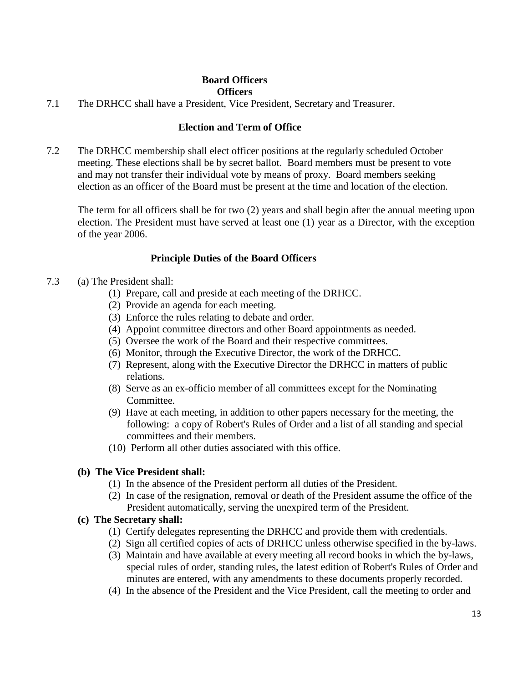# **Board Officers**

#### **Officers**

7.1 The DRHCC shall have a President, Vice President, Secretary and Treasurer.

# **Election and Term of Office**

7.2 The DRHCC membership shall elect officer positions at the regularly scheduled October meeting. These elections shall be by secret ballot. Board members must be present to vote and may not transfer their individual vote by means of proxy. Board members seeking election as an officer of the Board must be present at the time and location of the election.

The term for all officers shall be for two (2) years and shall begin after the annual meeting upon election. The President must have served at least one (1) year as a Director, with the exception of the year 2006.

# **Principle Duties of the Board Officers**

- 7.3 (a) The President shall:
	- (1) Prepare, call and preside at each meeting of the DRHCC.
	- (2) Provide an agenda for each meeting.
	- (3) Enforce the rules relating to debate and order.
	- (4) Appoint committee directors and other Board appointments as needed.
	- (5) Oversee the work of the Board and their respective committees.
	- (6) Monitor, through the Executive Director, the work of the DRHCC.
	- (7) Represent, along with the Executive Director the DRHCC in matters of public relations.
	- (8) Serve as an ex-officio member of all committees except for the Nominating Committee.
	- (9) Have at each meeting, in addition to other papers necessary for the meeting, the following: a copy of Robert's Rules of Order and a list of all standing and special committees and their members.
	- (10) Perform all other duties associated with this office.

#### **(b) The Vice President shall:**

- (1) In the absence of the President perform all duties of the President.
- (2) In case of the resignation, removal or death of the President assume the office of the President automatically, serving the unexpired term of the President.

# **(c) The Secretary shall:**

- (1) Certify delegates representing the DRHCC and provide them with credentials.
- (2) Sign all certified copies of acts of DRHCC unless otherwise specified in the by-laws.
- (3) Maintain and have available at every meeting all record books in which the by-laws, special rules of order, standing rules, the latest edition of Robert's Rules of Order and minutes are entered, with any amendments to these documents properly recorded.
- (4) In the absence of the President and the Vice President, call the meeting to order and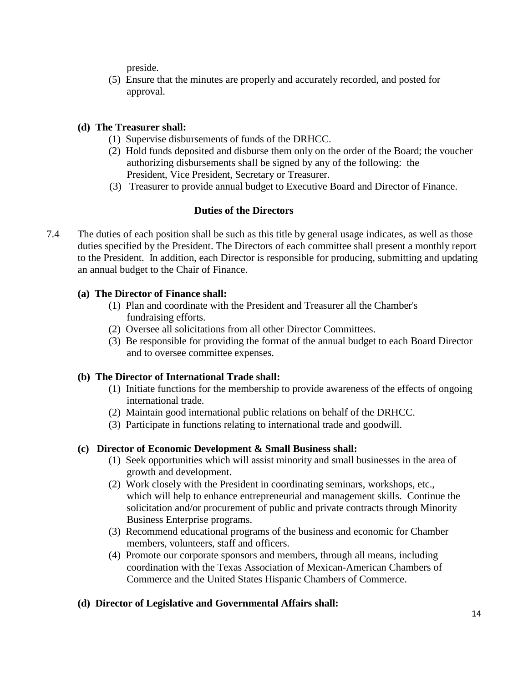preside.

(5) Ensure that the minutes are properly and accurately recorded, and posted for approval.

# **(d) The Treasurer shall:**

- (1) Supervise disbursements of funds of the DRHCC.
- (2) Hold funds deposited and disburse them only on the order of the Board; the voucher authorizing disbursements shall be signed by any of the following: the President, Vice President, Secretary or Treasurer.
- (3) Treasurer to provide annual budget to Executive Board and Director of Finance.

# **Duties of the Directors**

7.4 The duties of each position shall be such as this title by general usage indicates, as well as those duties specified by the President. The Directors of each committee shall present a monthly report to the President. In addition, each Director is responsible for producing, submitting and updating an annual budget to the Chair of Finance.

# **(a) The Director of Finance shall:**

- (1) Plan and coordinate with the President and Treasurer all the Chamber's fundraising efforts.
- (2) Oversee all solicitations from all other Director Committees.
- (3) Be responsible for providing the format of the annual budget to each Board Director and to oversee committee expenses.

# **(b) The Director of International Trade shall:**

- (1) Initiate functions for the membership to provide awareness of the effects of ongoing international trade.
- (2) Maintain good international public relations on behalf of the DRHCC.
- (3) Participate in functions relating to international trade and goodwill.

# **(c) Director of Economic Development & Small Business shall:**

- (1) Seek opportunities which will assist minority and small businesses in the area of growth and development.
- (2) Work closely with the President in coordinating seminars, workshops, etc., which will help to enhance entrepreneurial and management skills. Continue the solicitation and/or procurement of public and private contracts through Minority Business Enterprise programs.
- (3) Recommend educational programs of the business and economic for Chamber members, volunteers, staff and officers.
- (4) Promote our corporate sponsors and members, through all means, including coordination with the Texas Association of Mexican-American Chambers of Commerce and the United States Hispanic Chambers of Commerce.

# **(d) Director of Legislative and Governmental Affairs shall:**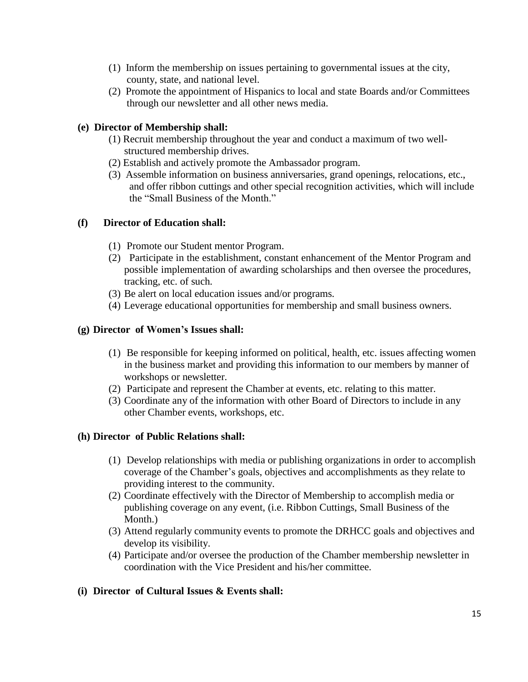- (1) Inform the membership on issues pertaining to governmental issues at the city, county, state, and national level.
- (2) Promote the appointment of Hispanics to local and state Boards and/or Committees through our newsletter and all other news media.

# **(e) Director of Membership shall:**

- (1) Recruit membership throughout the year and conduct a maximum of two wellstructured membership drives.
- (2) Establish and actively promote the Ambassador program.
- (3) Assemble information on business anniversaries, grand openings, relocations, etc., and offer ribbon cuttings and other special recognition activities, which will include the "Small Business of the Month."

# **(f) Director of Education shall:**

- (1) Promote our Student mentor Program.
- (2) Participate in the establishment, constant enhancement of the Mentor Program and possible implementation of awarding scholarships and then oversee the procedures, tracking, etc. of such.
- (3) Be alert on local education issues and/or programs.
- (4) Leverage educational opportunities for membership and small business owners.

#### **(g) Director of Women's Issues shall:**

- (1) Be responsible for keeping informed on political, health, etc. issues affecting women in the business market and providing this information to our members by manner of workshops or newsletter.
- (2) Participate and represent the Chamber at events, etc. relating to this matter.
- (3) Coordinate any of the information with other Board of Directors to include in any other Chamber events, workshops, etc.

# **(h) Director of Public Relations shall:**

- (1) Develop relationships with media or publishing organizations in order to accomplish coverage of the Chamber's goals, objectives and accomplishments as they relate to providing interest to the community.
- (2) Coordinate effectively with the Director of Membership to accomplish media or publishing coverage on any event, (i.e. Ribbon Cuttings, Small Business of the Month.)
- (3) Attend regularly community events to promote the DRHCC goals and objectives and develop its visibility.
- (4) Participate and/or oversee the production of the Chamber membership newsletter in coordination with the Vice President and his/her committee.

# **(i) Director of Cultural Issues & Events shall:**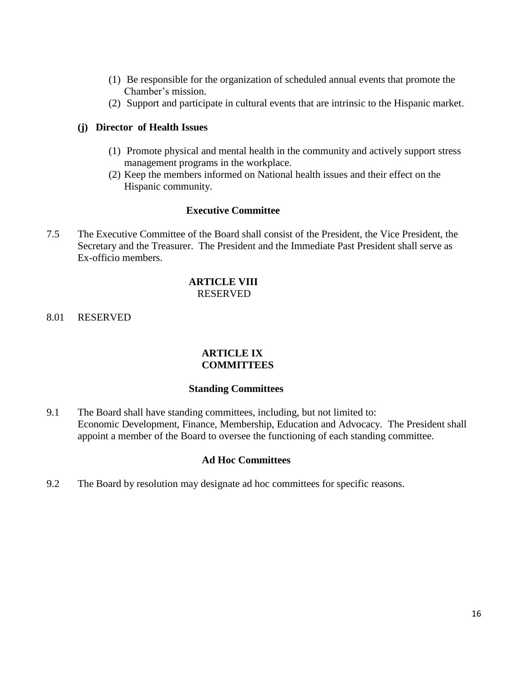- (1) Be responsible for the organization of scheduled annual events that promote the Chamber's mission.
- (2) Support and participate in cultural events that are intrinsic to the Hispanic market.

#### **(j) Director of Health Issues**

- (1) Promote physical and mental health in the community and actively support stress management programs in the workplace.
- (2) Keep the members informed on National health issues and their effect on the Hispanic community.

#### **Executive Committee**

7.5 The Executive Committee of the Board shall consist of the President, the Vice President, the Secretary and the Treasurer. The President and the Immediate Past President shall serve as Ex-officio members.

### **ARTICLE VIII** RESERVED

8.01 RESERVED

#### **ARTICLE IX COMMITTEES**

#### **Standing Committees**

9.1 The Board shall have standing committees, including, but not limited to: Economic Development, Finance, Membership, Education and Advocacy. The President shall appoint a member of the Board to oversee the functioning of each standing committee.

#### **Ad Hoc Committees**

9.2 The Board by resolution may designate ad hoc committees for specific reasons.